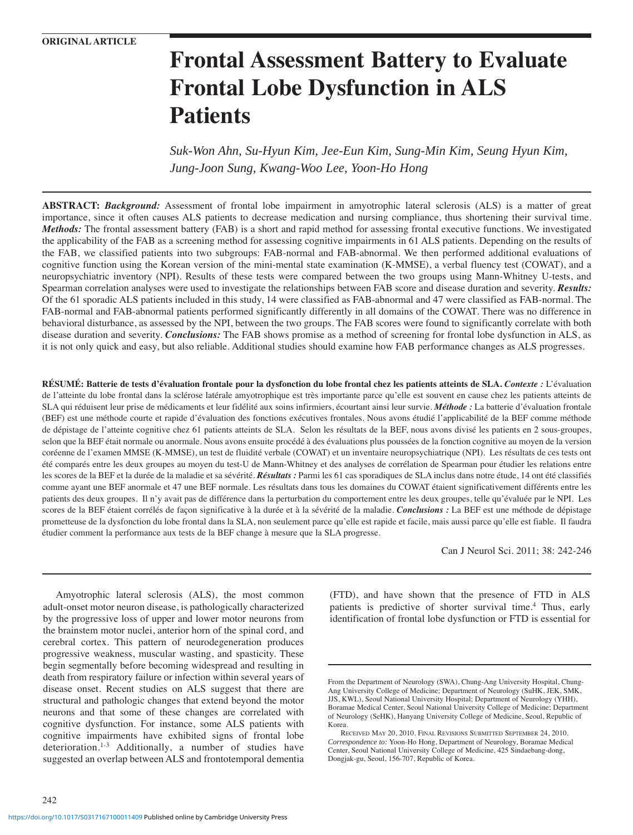# **Frontal Assessment Battery to Evaluate Frontal Lobe Dysfunction in ALS Patients**

*Suk-Won Ahn, Su-Hyun Kim, Jee-Eun Kim, Sung-Min Kim, Seung Hyun Kim, Jung-Joon Sung, Kwang-Woo Lee, Yoon-Ho Hong*

**ABSTRACT:** *Background:* Assessment of frontal lobe impairment in amyotrophic lateral sclerosis (ALS) is a matter of great importance, since it often causes ALS patients to decrease medication and nursing compliance, thus shortening their survival time. *Methods:* The frontal assessment battery (FAB) is a short and rapid method for assessing frontal executive functions. We investigated the applicability of the FAB as a screening method for assessing cognitive impairments in 61 ALS patients. Depending on the results of the FAB, we classified patients into two subgroups: FAB-normal and FAB-abnormal. We then performed additional evaluations of cognitive function using the Korean version of the mini-mental state examination (K-MMSE), a verbal fluency test (COWAT), and a neuropsychiatric inventory (NPI). Results of these tests were compared between the two groups using Mann-Whitney U-tests, and Spearman correlation analyses were used to investigate the relationships between FAB score and disease duration and severity. *Results:* Of the 61 sporadic ALS patients included in this study, 14 were classified as FAB-abnormal and 47 were classified as FAB-normal. The FAB-normal and FAB-abnormal patients performed significantly differently in all domains of the COWAT. There was no difference in behavioral disturbance, as assessed by the NPI, between the two groups. The FAB scores were found to significantly correlate with both disease duration and severity. *Conclusions:* The FAB shows promise as a method of screening for frontal lobe dysfunction in ALS, as it is not only quick and easy, but also reliable. Additional studies should examine how FAB performance changes as ALS progresses.

**RÉSUMÉ: Batterie de tests d'évaluation frontale pour la dysfonction du lobe frontal chez les patients atteints de SLA.** *Contexte :* L'évaluation de l'atteinte du lobe frontal dans la sclérose latérale amyotrophique est très importante parce qu'elle est souvent en cause chez les patients atteints de SLA qui réduisent leur prise de médicaments et leur fidélité aux soins infirmiers, écourtant ainsi leur survie. *Méthode :* La batterie d'évaluation frontale (BEF) est une méthode courte et rapide d'évaluation des fonctions exécutives frontales. Nous avons étudié l'applicabilité de la BEF comme méthode de dépistage de l'atteinte cognitive chez 61 patients atteints de SLA. Selon les résultats de la BEF, nous avons divisé les patients en 2 sous-groupes, selon que la BEF était normale ou anormale. Nous avons ensuite procédé à des évaluations plus poussées de la fonction cognitive au moyen de la version coréenne de l'examen MMSE (K-MMSE), un test de fluidité verbale (COWAT) et un inventaire neuropsychiatrique (NPI). Les résultats de ces tests ont été comparés entre les deux groupes au moyen du test-U de Mann-Whitney et des analyses de corrélation de Spearman pour étudier les relations entre les scores de la BEF et la durée de la maladie et sa sévérité. *Résultats :* Parmi les 61 cas sporadiques de SLA inclus dans notre étude, 14 ont été classifiés comme ayant une BEF anormale et 47 une BEF normale. Les résultats dans tous les domaines du COWAT étaient significativement différents entre les patients des deux groupes. Il n'y avait pas de différence dans la perturbation du comportement entre les deux groupes, telle qu'évaluée par le NPI. Les scores de la BEF étaient corrélés de façon significative à la durée et à la sévérité de la maladie. *Conclusions :* La BEF est une méthode de dépistage prometteuse de la dysfonction du lobe frontal dans la SLA, non seulement parce qu'elle est rapide et facile, mais aussi parce qu'elle est fiable. Il faudra étudier comment la performance aux tests de la BEF change à mesure que la SLA progresse.

Can J Neurol Sci. 2011; 38: 242-246

Amyotrophic lateral sclerosis (ALS), the most common adult-onset motor neuron disease, is pathologically characterized by the progressive loss of upper and lower motor neurons from the brainstem motor nuclei, anterior horn of the spinal cord, and cerebral cortex. This pattern of neurodegeneration produces progressive weakness, muscular wasting, and spasticity. These begin segmentally before becoming widespread and resulting in death from respiratory failure or infection within several years of disease onset. Recent studies on ALS suggest that there are structural and pathologic changes that extend beyond the motor neurons and that some of these changes are correlated with cognitive dysfunction. For instance, some ALS patients with cognitive impairments have exhibited signs of frontal lobe deterioration.1-3 Additionally, a number of studies have suggested an overlap between ALS and frontotemporal dementia

242

(FTD), and have shown that the presence of FTD in ALS patients is predictive of shorter survival time.<sup>4</sup> Thus, early identification of frontal lobe dysfunction or FTD is essential for

From the Department of Neurology (SWA), Chung-Ang University Hospital, Chung-Ang University College of Medicine; Department of Neurology (SuHK, JEK, SMK, JJS, KWL), Seoul National University Hospital; Department of Neurology (YHH), Boramae Medical Center, Seoul National University College of Medicine; Department of Neurology (SeHK), Hanyang University College of Medicine, Seoul, Republic of Korea.

RECEIVED MAY 20, 2010. FINAL REVISIONS SUBMITTED SEPTEMBER 24, 2010. *Correspondence to:* Yoon-Ho Hong, Department of Neurology, Boramae Medical Center, Seoul National University College of Medicine, 425 Sindaebang-dong, Dongjak-gu, Seoul, 156-707, Republic of Korea.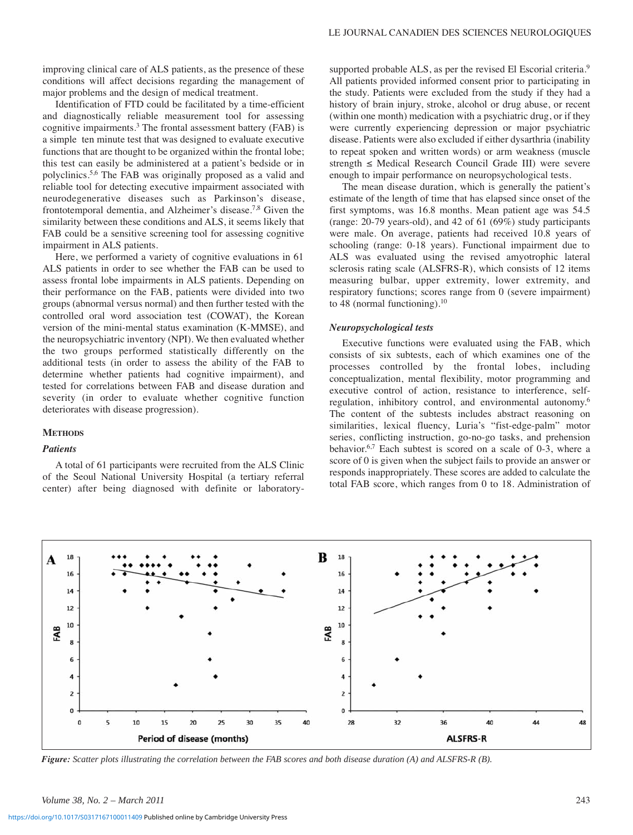improving clinical care of ALS patients, as the presence of these conditions will affect decisions regarding the management of major problems and the design of medical treatment.

Identification of FTD could be facilitated by a time-efficient and diagnostically reliable measurement tool for assessing cognitive impairments.<sup>3</sup> The frontal assessment battery (FAB) is a simple ten minute test that was designed to evaluate executive functions that are thought to be organized within the frontal lobe; this test can easily be administered at a patient's bedside or in polyclinics.5,6 The FAB was originally proposed as a valid and reliable tool for detecting executive impairment associated with neurodegenerative diseases such as Parkinson's disease, frontotemporal dementia, and Alzheimer's disease.<sup>7,8</sup> Given the similarity between these conditions and ALS, it seems likely that FAB could be a sensitive screening tool for assessing cognitive impairment in ALS patients.

Here, we performed a variety of cognitive evaluations in 61 ALS patients in order to see whether the FAB can be used to assess frontal lobe impairments in ALS patients. Depending on their performance on the FAB, patients were divided into two groups (abnormal versus normal) and then further tested with the controlled oral word association test (COWAT), the Korean version of the mini-mental status examination (K-MMSE), and the neuropsychiatric inventory (NPI). We then evaluated whether the two groups performed statistically differently on the additional tests (in order to assess the ability of the FAB to determine whether patients had cognitive impairment), and tested for correlations between FAB and disease duration and severity (in order to evaluate whether cognitive function deteriorates with disease progression).

## **METHODS**

# *Patients*

A total of 61 participants were recruited from the ALS Clinic of the Seoul National University Hospital (a tertiary referral center) after being diagnosed with definite or laboratorysupported probable ALS, as per the revised El Escorial criteria.<sup>9</sup> All patients provided informed consent prior to participating in the study. Patients were excluded from the study if they had a history of brain injury, stroke, alcohol or drug abuse, or recent (within one month) medication with a psychiatric drug, or if they were currently experiencing depression or major psychiatric disease. Patients were also excluded if either dysarthria (inability to repeat spoken and written words) or arm weakness (muscle strength ≤ Medical Research Council Grade III) were severe enough to impair performance on neuropsychological tests.

The mean disease duration, which is generally the patient's estimate of the length of time that has elapsed since onset of the first symptoms, was 16.8 months. Mean patient age was 54.5 (range: 20-79 years-old), and 42 of 61 (69%) study participants were male. On average, patients had received 10.8 years of schooling (range: 0-18 years). Functional impairment due to ALS was evaluated using the revised amyotrophic lateral sclerosis rating scale (ALSFRS-R), which consists of 12 items measuring bulbar, upper extremity, lower extremity, and respiratory functions; scores range from 0 (severe impairment) to 48 (normal functioning).<sup>10</sup>

## *Neuropsychological tests*

Executive functions were evaluated using the FAB, which consists of six subtests, each of which examines one of the processes controlled by the frontal lobes, including conceptualization, mental flexibility, motor programming and executive control of action, resistance to interference, selfregulation, inhibitory control, and environmental autonomy.6 The content of the subtests includes abstract reasoning on similarities, lexical fluency, Luria's "fist-edge-palm" motor series, conflicting instruction, go-no-go tasks, and prehension behavior.<sup>6,7</sup> Each subtest is scored on a scale of  $0-\overline{3}$ , where a score of 0 is given when the subject fails to provide an answer or responds inappropriately. These scores are added to calculate the total FAB score, which ranges from 0 to 18. Administration of



*Figure: Scatter plots illustrating the correlation between the FAB scores and both disease duration (A) and ALSFRS-R (B).*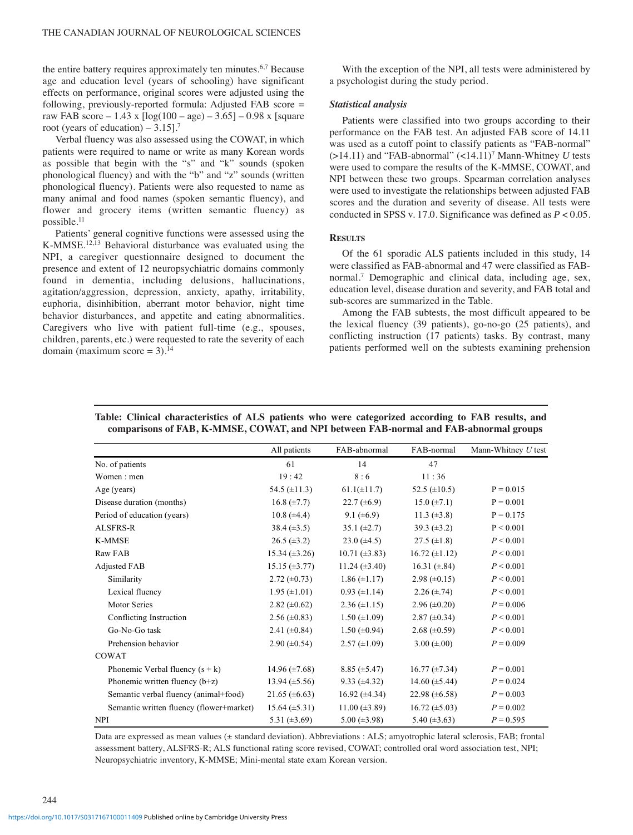the entire battery requires approximately ten minutes.<sup>6,7</sup> Because age and education level (years of schooling) have significant effects on performance, original scores were adjusted using the following, previously-reported formula: Adjusted FAB score = raw FAB score – 1.43 x  $\lceil \log(100 - \text{age}) - 3.65 \rceil - 0.98$  x  $\lceil \text{square} \rceil$ root (years of education) –  $3.15$ ].<sup>7</sup>

Verbal fluency was also assessed using the COWAT, in which patients were required to name or write as many Korean words as possible that begin with the "s" and "k" sounds (spoken phonological fluency) and with the "b" and "z" sounds (written phonological fluency). Patients were also requested to name as many animal and food names (spoken semantic fluency), and flower and grocery items (written semantic fluency) as possible.11

Patients' general cognitive functions were assessed using the K-MMSE.<sup>12,13</sup> Behavioral disturbance was evaluated using the NPI, a caregiver questionnaire designed to document the presence and extent of 12 neuropsychiatric domains commonly found in dementia, including delusions, hallucinations, agitation/aggression, depression, anxiety, apathy, irritability, euphoria, disinhibition, aberrant motor behavior, night time behavior disturbances, and appetite and eating abnormalities. Caregivers who live with patient full-time (e.g., spouses, children, parents, etc.) were requested to rate the severity of each domain (maximum score =  $3$ ).<sup>14</sup>

With the exception of the NPI, all tests were administered by a psychologist during the study period.

#### *Statistical analysis*

Patients were classified into two groups according to their performance on the FAB test. An adjusted FAB score of 14.11 was used as a cutoff point to classify patients as "FAB-normal"  $(>14.11)$  and "FAB-abnormal"  $(<14.11$ <sup>7</sup> Mann-Whitney *U* tests were used to compare the results of the K-MMSE, COWAT, and NPI between these two groups. Spearman correlation analyses were used to investigate the relationships between adjusted FAB scores and the duration and severity of disease. All tests were conducted in SPSS v. 17.0. Significance was defined as *P* < 0.05.

## **RESULTS**

Of the 61 sporadic ALS patients included in this study, 14 were classified as FAB-abnormal and 47 were classified as FABnormal.7 Demographic and clinical data, including age, sex, education level, disease duration and severity, and FAB total and sub-scores are summarized in the Table.

Among the FAB subtests, the most difficult appeared to be the lexical fluency (39 patients), go-no-go (25 patients), and conflicting instruction (17 patients) tasks. By contrast, many patients performed well on the subtests examining prehension

|                                          | All patients         | FAB-abnormal         | FAB-normal           | Mann-Whitney U test |
|------------------------------------------|----------------------|----------------------|----------------------|---------------------|
| No. of patients                          | 61                   | 14                   | 47                   |                     |
| Women: men                               | 19:42                | 8:6                  | 11:36                |                     |
| Age (years)                              | 54.5 $(\pm 11.3)$    | $61.1(\pm 11.7)$     | 52.5 $(\pm 10.5)$    | $P = 0.015$         |
| Disease duration (months)                | $16.8 (\pm 7.7)$     | $22.7 \ (\pm 6.9)$   | $15.0 (\pm 7.1)$     | $P = 0.001$         |
| Period of education (years)              | 10.8 $(\pm 4.4)$     | 9.1 $(\pm 6.9)$      | 11.3 $(\pm 3.8)$     | $P = 0.175$         |
| ALSFRS-R                                 | $38.4 (\pm 3.5)$     | $35.1 (\pm 2.7)$     | $39.3 \ (\pm 3.2)$   | P < 0.001           |
| <b>K-MMSE</b>                            | $26.5 (\pm 3.2)$     | $23.0 \ (\pm 4.5)$   | $27.5 \ (\pm 1.8)$   | P < 0.001           |
| Raw FAB                                  | $15.34 (\pm 3.26)$   | $10.71 (\pm 3.83)$   | $16.72 (\pm 1.12)$   | P < 0.001           |
| <b>Adjusted FAB</b>                      | $15.15 \ (\pm 3.77)$ | $11.24 (\pm 3.40)$   | 16.31 $(\pm .84)$    | P < 0.001           |
| Similarity                               | $2.72 \ (\pm 0.73)$  | $1.86 (\pm 1.17)$    | $2.98 \ (\pm 0.15)$  | P < 0.001           |
| Lexical fluency                          | $1.95 \ (\pm 1.01)$  | $0.93 \ (\pm 1.14)$  | $2.26 (\pm .74)$     | P < 0.001           |
| <b>Motor Series</b>                      | 2.82 $(\pm 0.62)$    | $2.36 \ (\pm 1.15)$  | $2.96 \ (\pm 0.20)$  | $P = 0.006$         |
| Conflicting Instruction                  | $2.56 \ (\pm 0.83)$  | $1.50 \ (\pm 1.09)$  | $2.87 \ (\pm 0.34)$  | P < 0.001           |
| Go-No-Go task                            | 2.41 $(\pm 0.84)$    | $1.50 \ (\pm 0.94)$  | $2.68 (\pm 0.59)$    | P < 0.001           |
| Prehension behavior                      | $2.90 \ (\pm 0.54)$  | $2.57 \ (\pm 1.09)$  | $3.00 (\pm .00)$     | $P = 0.009$         |
| COWAT                                    |                      |                      |                      |                     |
| Phonemic Verbal fluency $(s + k)$        | 14.96 $(\pm 7.68)$   | $8.85 \ (\pm 5.47)$  | $16.77 \ (\pm 7.34)$ | $P = 0.001$         |
| Phonemic written fluency $(b+z)$         | 13.94 $(\pm 5.56)$   | $9.33 \ (\pm 4.32)$  | 14.60 $(\pm 5.44)$   | $P = 0.024$         |
| Semantic verbal fluency (animal+food)    | 21.65 $(\pm 6.63)$   | $16.92 \ (\pm 4.34)$ | 22.98 $(\pm 6.58)$   | $P = 0.003$         |
| Semantic written fluency (flower+market) | $15.64 (\pm 5.31)$   | $11.00 (\pm 3.89)$   | $16.72 \ (\pm 5.03)$ | $P = 0.002$         |
| <b>NPI</b>                               | 5.31 $(\pm 3.69)$    | $5.00 (\pm 3.98)$    | 5.40 $(\pm 3.63)$    | $P = 0.595$         |

**Table: Clinical characteristics of ALS patients who were categorized according to FAB results, and comparisons of FAB, K-MMSE, COWAT, and NPI between FAB-normal and FAB-abnormal groups**

Data are expressed as mean values (± standard deviation). Abbreviations : ALS; amyotrophic lateral sclerosis, FAB; frontal assessment battery, ALSFRS-R; ALS functional rating score revised, COWAT; controlled oral word association test, NPI; Neuropsychiatric inventory, K-MMSE; Mini-mental state exam Korean version.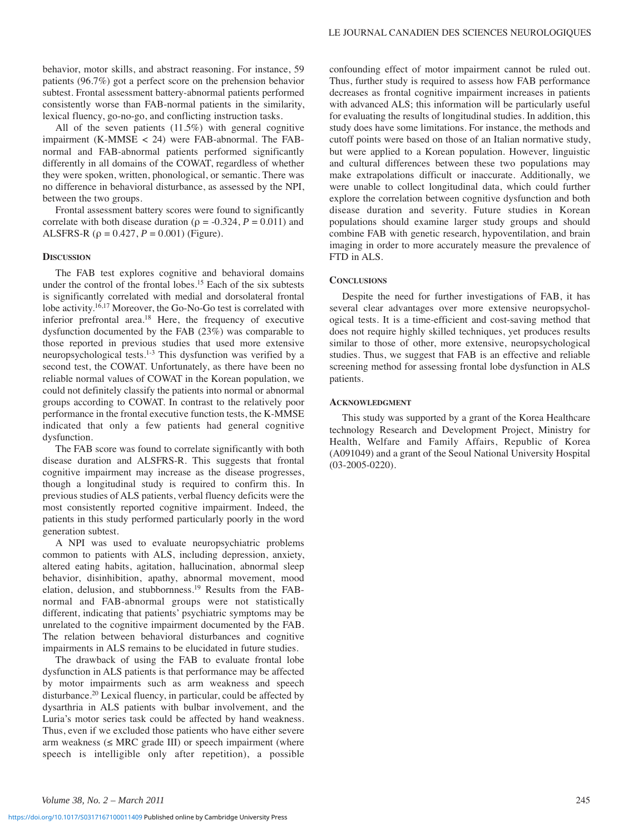behavior, motor skills, and abstract reasoning. For instance, 59 patients (96.7%) got a perfect score on the prehension behavior subtest. Frontal assessment battery-abnormal patients performed consistently worse than FAB-normal patients in the similarity, lexical fluency, go-no-go, and conflicting instruction tasks.

All of the seven patients (11.5%) with general cognitive impairment (K-MMSE < 24) were FAB-abnormal. The FABnormal and FAB-abnormal patients performed significantly differently in all domains of the COWAT, regardless of whether they were spoken, written, phonological, or semantic. There was no difference in behavioral disturbance, as assessed by the NPI, between the two groups.

Frontal assessment battery scores were found to significantly correlate with both disease duration ( $\rho = -0.324$ ,  $P = 0.011$ ) and ALSFRS-R ( $\rho = 0.427$ ,  $P = 0.001$ ) (Figure).

## **DISCUSSION**

The FAB test explores cognitive and behavioral domains under the control of the frontal lobes.15 Each of the six subtests is significantly correlated with medial and dorsolateral frontal lobe activity.16,17 Moreover, the Go-No-Go test is correlated with inferior prefrontal area.18 Here, the frequency of executive dysfunction documented by the FAB (23%) was comparable to those reported in previous studies that used more extensive neuropsychological tests.1-3 This dysfunction was verified by a second test, the COWAT. Unfortunately, as there have been no reliable normal values of COWAT in the Korean population, we could not definitely classify the patients into normal or abnormal groups according to COWAT. In contrast to the relatively poor performance in the frontal executive function tests, the K-MMSE indicated that only a few patients had general cognitive dysfunction.

The FAB score was found to correlate significantly with both disease duration and ALSFRS-R. This suggests that frontal cognitive impairment may increase as the disease progresses, though a longitudinal study is required to confirm this. In previous studies of ALS patients, verbal fluency deficits were the most consistently reported cognitive impairment. Indeed, the patients in this study performed particularly poorly in the word generation subtest.

A NPI was used to evaluate neuropsychiatric problems common to patients with ALS, including depression, anxiety, altered eating habits, agitation, hallucination, abnormal sleep behavior, disinhibition, apathy, abnormal movement, mood elation, delusion, and stubbornness.19 Results from the FABnormal and FAB-abnormal groups were not statistically different, indicating that patients' psychiatric symptoms may be unrelated to the cognitive impairment documented by the FAB. The relation between behavioral disturbances and cognitive impairments in ALS remains to be elucidated in future studies.

The drawback of using the FAB to evaluate frontal lobe dysfunction in ALS patients is that performance may be affected by motor impairments such as arm weakness and speech disturbance.20 Lexical fluency, in particular, could be affected by dysarthria in ALS patients with bulbar involvement, and the Luria's motor series task could be affected by hand weakness. Thus, even if we excluded those patients who have either severe arm weakness  $(\leq MRC \text{ grade III})$  or speech impairment (where speech is intelligible only after repetition), a possible

confounding effect of motor impairment cannot be ruled out. Thus, further study is required to assess how FAB performance decreases as frontal cognitive impairment increases in patients with advanced ALS; this information will be particularly useful for evaluating the results of longitudinal studies. In addition, this study does have some limitations. For instance, the methods and cutoff points were based on those of an Italian normative study, but were applied to a Korean population. However, linguistic and cultural differences between these two populations may make extrapolations difficult or inaccurate. Additionally, we were unable to collect longitudinal data, which could further explore the correlation between cognitive dysfunction and both disease duration and severity. Future studies in Korean populations should examine larger study groups and should combine FAB with genetic research, hypoventilation, and brain imaging in order to more accurately measure the prevalence of FTD in ALS.

## **CONCLUSIONS**

Despite the need for further investigations of FAB, it has several clear advantages over more extensive neuropsychological tests. It is a time-efficient and cost-saving method that does not require highly skilled techniques, yet produces results similar to those of other, more extensive, neuropsychological studies. Thus, we suggest that FAB is an effective and reliable screening method for assessing frontal lobe dysfunction in ALS patients.

### **ACKNOWLEDGMENT**

This study was supported by a grant of the Korea Healthcare technology Research and Development Project, Ministry for Health, Welfare and Family Affairs, Republic of Korea (A091049) and a grant of the Seoul National University Hospital (03-2005-0220).